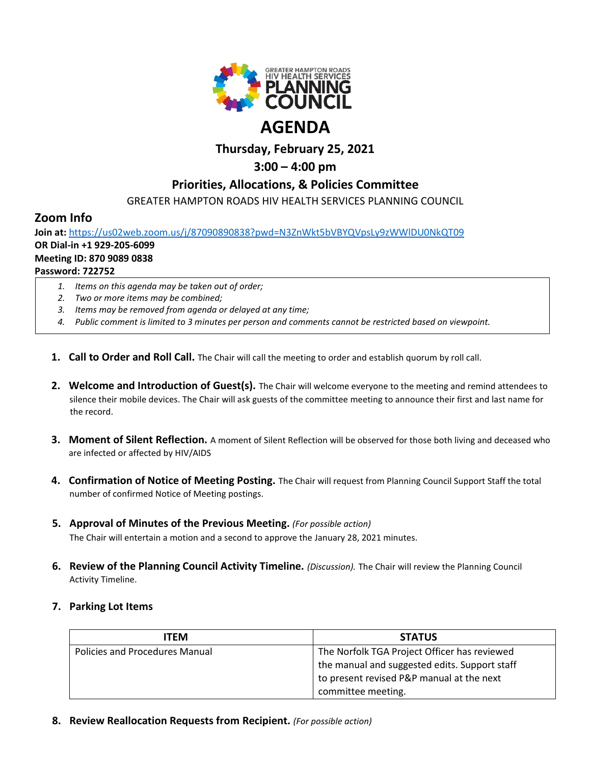

# **Thursday, February 25, 2021**

# **3:00 – 4:00 pm**

## **Priorities, Allocations, & Policies Committee**

GREATER HAMPTON ROADS HIV HEALTH SERVICES PLANNING COUNCIL

## **Zoom Info**

**Join at:** <https://us02web.zoom.us/j/87090890838?pwd=N3ZnWkt5bVBYQVpsLy9zWWlDU0NkQT09> **OR Dial-in +1 929-205-6099 Meeting ID: 870 9089 0838 Password: 722752**

- *1. Items on this agenda may be taken out of order;*
- *2. Two or more items may be combined;*
- *3. Items may be removed from agenda or delayed at any time;*
- *4. Public comment is limited to 3 minutes per person and comments cannot be restricted based on viewpoint.*
- **1. Call to Order and Roll Call.** The Chair will call the meeting to order and establish quorum by roll call.
- **2. Welcome and Introduction of Guest(s).** The Chair will welcome everyone to the meeting and remind attendees to silence their mobile devices. The Chair will ask guests of the committee meeting to announce their first and last name for the record.
- **3. Moment of Silent Reflection.** A moment of Silent Reflection will be observed for those both living and deceased who are infected or affected by HIV/AIDS
- **4. Confirmation of Notice of Meeting Posting.** The Chair will request from Planning Council Support Staff the total number of confirmed Notice of Meeting postings.
- **5. Approval of Minutes of the Previous Meeting.** *(For possible action)* The Chair will entertain a motion and a second to approve the January 28, 2021 minutes.
- **6. Review of the Planning Council Activity Timeline.** *(Discussion).* The Chair will review the Planning Council Activity Timeline.
- **7. Parking Lot Items**

| <b>ITEM</b>                    | <b>STATUS</b>                                 |
|--------------------------------|-----------------------------------------------|
| Policies and Procedures Manual | The Norfolk TGA Project Officer has reviewed  |
|                                | the manual and suggested edits. Support staff |
|                                | to present revised P&P manual at the next     |
|                                | committee meeting.                            |

**8. Review Reallocation Requests from Recipient.** *(For possible action)*